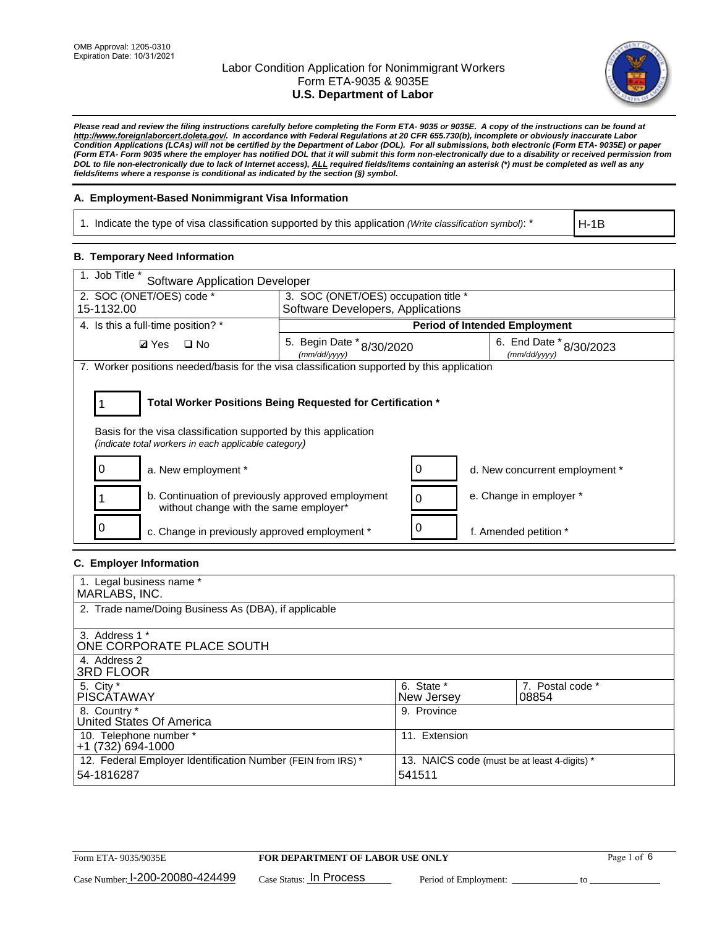

*Please read and review the filing instructions carefully before completing the Form ETA- 9035 or 9035E. A copy of the instructions can be found at http://www.foreignlaborcert.doleta.gov/. In accordance with Federal Regulations at 20 CFR 655.730(b), incomplete or obviously inaccurate Labor Condition Applications (LCAs) will not be certified by the Department of Labor (DOL). For all submissions, both electronic (Form ETA- 9035E) or paper (Form ETA- Form 9035 where the employer has notified DOL that it will submit this form non-electronically due to a disability or received permission from DOL to file non-electronically due to lack of Internet access), ALL required fields/items containing an asterisk (\*) must be completed as well as any fields/items where a response is conditional as indicated by the section (§) symbol.* 

## **A. Employment-Based Nonimmigrant Visa Information**

1. Indicate the type of visa classification supported by this application *(Write classification symbol)*: \*

H-1B

## **B. Temporary Need Information**

| 1. Job Title *<br><b>Software Application Developer</b>                                                                                                                               |                                           |   |                                             |  |  |  |
|---------------------------------------------------------------------------------------------------------------------------------------------------------------------------------------|-------------------------------------------|---|---------------------------------------------|--|--|--|
| 2. SOC (ONET/OES) code *                                                                                                                                                              | 3. SOC (ONET/OES) occupation title *      |   |                                             |  |  |  |
| 15-1132.00                                                                                                                                                                            | Software Developers, Applications         |   |                                             |  |  |  |
| 4. Is this a full-time position? *                                                                                                                                                    | <b>Period of Intended Employment</b>      |   |                                             |  |  |  |
| $\Box$ No<br><b>Ø</b> Yes                                                                                                                                                             | 5. Begin Date * 8/30/2020<br>(mm/dd/yyyy) |   | 6. End Date $*_{8/30/2023}$<br>(mm/dd/yyyy) |  |  |  |
| 7. Worker positions needed/basis for the visa classification supported by this application                                                                                            |                                           |   |                                             |  |  |  |
| Total Worker Positions Being Requested for Certification *<br>Basis for the visa classification supported by this application<br>(indicate total workers in each applicable category) |                                           |   |                                             |  |  |  |
| a. New employment *                                                                                                                                                                   |                                           |   | d. New concurrent employment *              |  |  |  |
| b. Continuation of previously approved employment<br>without change with the same employer*                                                                                           |                                           | 0 | e. Change in employer *                     |  |  |  |
| c. Change in previously approved employment *                                                                                                                                         |                                           |   | f. Amended petition *                       |  |  |  |

## **C. Employer Information**

| 1. Legal business name *                                     |                                              |                  |
|--------------------------------------------------------------|----------------------------------------------|------------------|
| MARLABS, INC.                                                |                                              |                  |
| 2. Trade name/Doing Business As (DBA), if applicable         |                                              |                  |
|                                                              |                                              |                  |
| 3. Address 1 *                                               |                                              |                  |
| ONE CORPORATE PLACE SOUTH                                    |                                              |                  |
| 4. Address 2                                                 |                                              |                  |
| <b>3RD FLOOR</b>                                             |                                              |                  |
| 5. City *                                                    | 6. State *                                   | 7. Postal code * |
| PISCÁTAWAY                                                   | New Jersey                                   | 08854            |
| 8. Country *                                                 | 9. Province                                  |                  |
| United States Of America                                     |                                              |                  |
| 10. Telephone number *                                       | 11. Extension                                |                  |
| +1 (732) 694-1000                                            |                                              |                  |
| 12. Federal Employer Identification Number (FEIN from IRS) * | 13. NAICS code (must be at least 4-digits) * |                  |
| 54-1816287                                                   | 541511                                       |                  |
|                                                              |                                              |                  |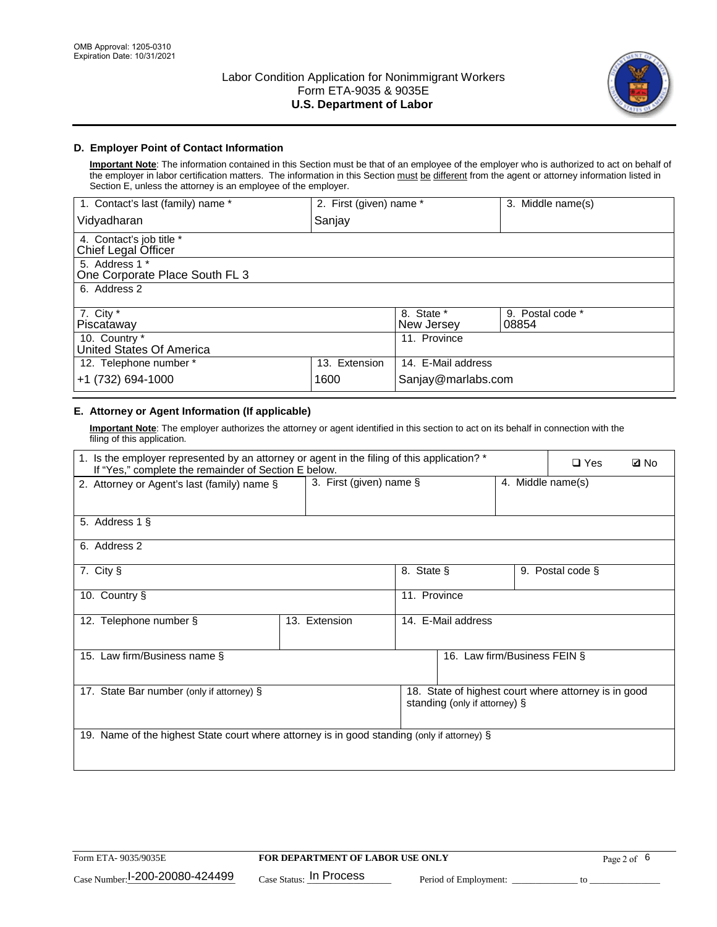

## **D. Employer Point of Contact Information**

**Important Note**: The information contained in this Section must be that of an employee of the employer who is authorized to act on behalf of the employer in labor certification matters. The information in this Section must be different from the agent or attorney information listed in Section E, unless the attorney is an employee of the employer.

| 1. Contact's last (family) name *                | 2. First (given) name * |                          | 3. Middle name(s)         |  |
|--------------------------------------------------|-------------------------|--------------------------|---------------------------|--|
| Vidyadharan                                      | Sanjay                  |                          |                           |  |
| 4. Contact's job title *<br>Chief Legal Officer  |                         |                          |                           |  |
| 5. Address 1 *<br>One Corporate Place South FL 3 |                         |                          |                           |  |
| 6. Address 2                                     |                         |                          |                           |  |
| 7. City $*$<br>Piscataway                        |                         | 8. State *<br>New Jersey | 9. Postal code *<br>08854 |  |
| 10. Country *<br>United States Of America        |                         | 11. Province             |                           |  |
| 12. Telephone number *                           | 13. Extension           | 14. E-Mail address       |                           |  |
| +1 (732) 694-1000                                | 1600                    | Sanjay@marlabs.com       |                           |  |

## **E. Attorney or Agent Information (If applicable)**

**Important Note**: The employer authorizes the attorney or agent identified in this section to act on its behalf in connection with the filing of this application.

| 1. Is the employer represented by an attorney or agent in the filing of this application? *<br>If "Yes," complete the remainder of Section E below. |                         | $\Box$ Yes   | <b>ØNo</b>                    |                   |                                                      |  |
|-----------------------------------------------------------------------------------------------------------------------------------------------------|-------------------------|--------------|-------------------------------|-------------------|------------------------------------------------------|--|
| 2. Attorney or Agent's last (family) name §                                                                                                         | 3. First (given) name § |              |                               | 4. Middle name(s) |                                                      |  |
| 5. Address 1 §                                                                                                                                      |                         |              |                               |                   |                                                      |  |
| 6. Address 2                                                                                                                                        |                         |              |                               |                   |                                                      |  |
| 7. City §                                                                                                                                           |                         | 8. State §   |                               |                   | 9. Postal code §                                     |  |
| 10. Country §                                                                                                                                       |                         | 11. Province |                               |                   |                                                      |  |
| 12. Telephone number §                                                                                                                              | 13. Extension           |              | 14. E-Mail address            |                   |                                                      |  |
| 15. Law firm/Business name §                                                                                                                        |                         |              | 16. Law firm/Business FEIN §  |                   |                                                      |  |
| 17. State Bar number (only if attorney) §                                                                                                           |                         |              | standing (only if attorney) § |                   | 18. State of highest court where attorney is in good |  |
| 19. Name of the highest State court where attorney is in good standing (only if attorney) §                                                         |                         |              |                               |                   |                                                      |  |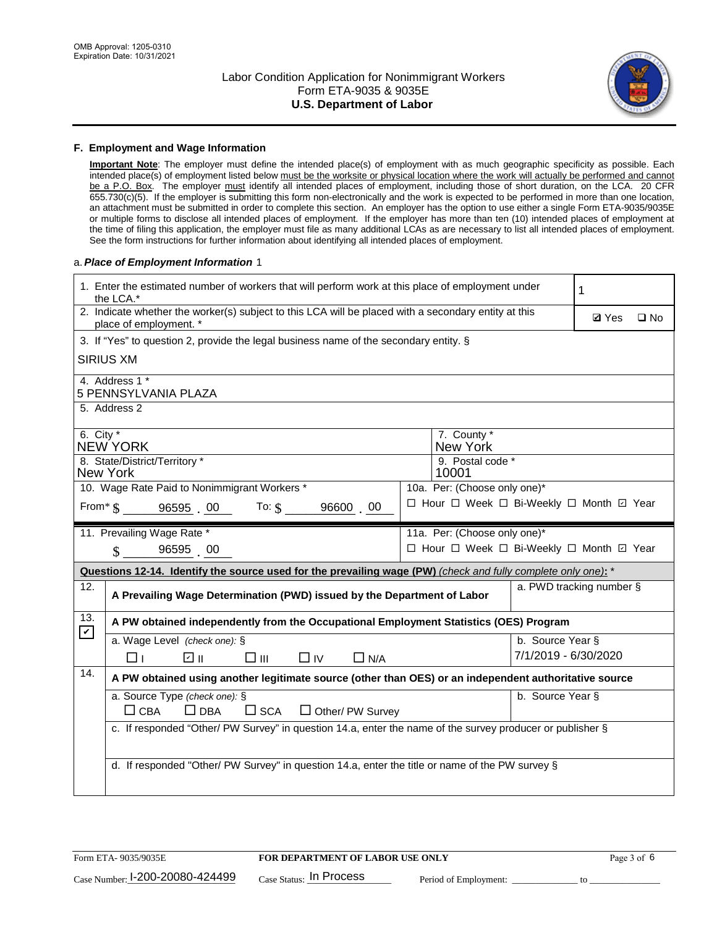

#### **F. Employment and Wage Information**

**Important Note**: The employer must define the intended place(s) of employment with as much geographic specificity as possible. Each intended place(s) of employment listed below must be the worksite or physical location where the work will actually be performed and cannot be a P.O. Box. The employer must identify all intended places of employment, including those of short duration, on the LCA. 20 CFR 655.730(c)(5). If the employer is submitting this form non-electronically and the work is expected to be performed in more than one location, an attachment must be submitted in order to complete this section. An employer has the option to use either a single Form ETA-9035/9035E or multiple forms to disclose all intended places of employment. If the employer has more than ten (10) intended places of employment at the time of filing this application, the employer must file as many additional LCAs as are necessary to list all intended places of employment. See the form instructions for further information about identifying all intended places of employment.

#### a.*Place of Employment Information* 1

|                                                                               | 1. Enter the estimated number of workers that will perform work at this place of employment under<br>the LCA.*                 |  |                         |                      | 1                        |              |
|-------------------------------------------------------------------------------|--------------------------------------------------------------------------------------------------------------------------------|--|-------------------------|----------------------|--------------------------|--------------|
|                                                                               | 2. Indicate whether the worker(s) subject to this LCA will be placed with a secondary entity at this<br>place of employment. * |  |                         |                      | <b>Ø</b> Yes             | $\square$ No |
|                                                                               | 3. If "Yes" to question 2, provide the legal business name of the secondary entity. §                                          |  |                         |                      |                          |              |
|                                                                               | <b>SIRIUS XM</b>                                                                                                               |  |                         |                      |                          |              |
|                                                                               | 4. Address 1 *<br>5 PENNSYLVANIA PLAZA                                                                                         |  |                         |                      |                          |              |
|                                                                               | 5. Address 2                                                                                                                   |  |                         |                      |                          |              |
| 6. City $*$                                                                   | <b>NEW YORK</b>                                                                                                                |  | 7. County *<br>New York |                      |                          |              |
| 8. State/District/Territory *<br>9. Postal code *<br><b>New York</b><br>10001 |                                                                                                                                |  |                         |                      |                          |              |
| 10. Wage Rate Paid to Nonimmigrant Workers *<br>10a. Per: (Choose only one)*  |                                                                                                                                |  |                         |                      |                          |              |
|                                                                               | □ Hour □ Week □ Bi-Weekly □ Month ☑ Year<br>From $*$ $\S$ 96595 00 To: $\S$<br>96600 00                                        |  |                         |                      |                          |              |
| 11. Prevailing Wage Rate *<br>11a. Per: (Choose only one)*                    |                                                                                                                                |  |                         |                      |                          |              |
|                                                                               | □ Hour □ Week □ Bi-Weekly □ Month ☑ Year<br>$\sin 9659500$                                                                     |  |                         |                      |                          |              |
|                                                                               | Questions 12-14. Identify the source used for the prevailing wage (PW) (check and fully complete only one): *                  |  |                         |                      |                          |              |
| 12.                                                                           | A Prevailing Wage Determination (PWD) issued by the Department of Labor                                                        |  |                         |                      | a. PWD tracking number § |              |
| 13.                                                                           | A PW obtained independently from the Occupational Employment Statistics (OES) Program                                          |  |                         |                      |                          |              |
| $\mathbf v$                                                                   | a. Wage Level (check one): §                                                                                                   |  |                         | b. Source Year §     |                          |              |
|                                                                               | ☑ ⊪<br>$\square$ $\square$<br>$\Box$ IV<br>$\Box$ N/A<br>□⊥                                                                    |  |                         | 7/1/2019 - 6/30/2020 |                          |              |
| 14.                                                                           | A PW obtained using another legitimate source (other than OES) or an independent authoritative source                          |  |                         |                      |                          |              |
|                                                                               | a. Source Type (check one): §                                                                                                  |  |                         | b. Source Year §     |                          |              |
|                                                                               | $\Box$ CBA<br>$\Box$ DBA<br>$\square$ SCA<br>$\Box$ Other/ PW Survey                                                           |  |                         |                      |                          |              |
|                                                                               | c. If responded "Other/ PW Survey" in question 14.a, enter the name of the survey producer or publisher §                      |  |                         |                      |                          |              |
|                                                                               |                                                                                                                                |  |                         |                      |                          |              |
|                                                                               | d. If responded "Other/ PW Survey" in question 14.a, enter the title or name of the PW survey §                                |  |                         |                      |                          |              |
|                                                                               |                                                                                                                                |  |                         |                      |                          |              |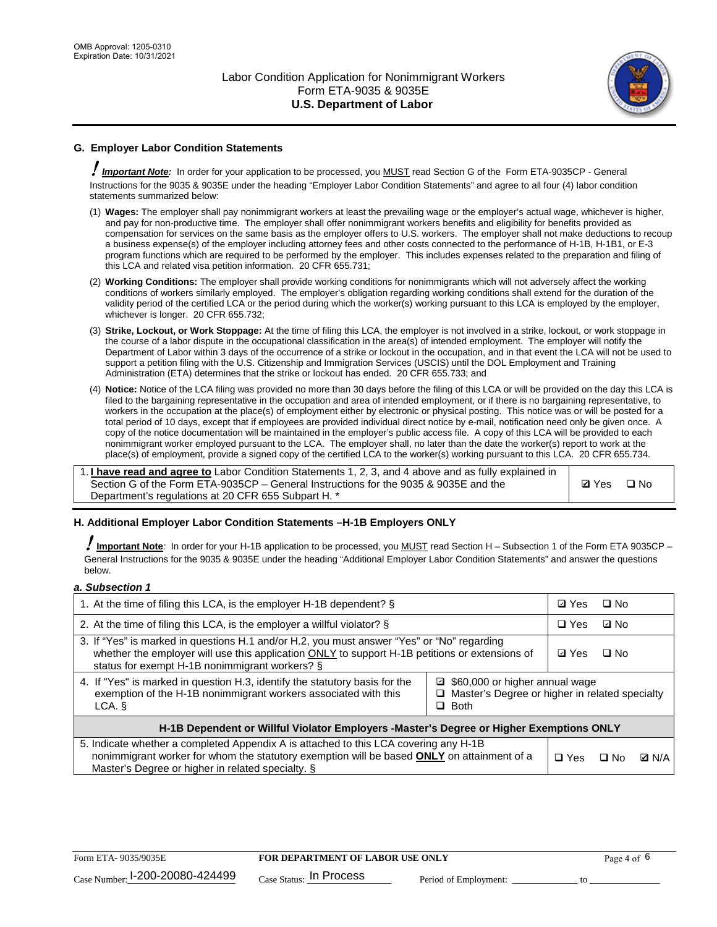

## **G. Employer Labor Condition Statements**

! *Important Note:* In order for your application to be processed, you MUST read Section G of the Form ETA-9035CP - General Instructions for the 9035 & 9035E under the heading "Employer Labor Condition Statements" and agree to all four (4) labor condition statements summarized below:

- (1) **Wages:** The employer shall pay nonimmigrant workers at least the prevailing wage or the employer's actual wage, whichever is higher, and pay for non-productive time. The employer shall offer nonimmigrant workers benefits and eligibility for benefits provided as compensation for services on the same basis as the employer offers to U.S. workers. The employer shall not make deductions to recoup a business expense(s) of the employer including attorney fees and other costs connected to the performance of H-1B, H-1B1, or E-3 program functions which are required to be performed by the employer. This includes expenses related to the preparation and filing of this LCA and related visa petition information. 20 CFR 655.731;
- (2) **Working Conditions:** The employer shall provide working conditions for nonimmigrants which will not adversely affect the working conditions of workers similarly employed. The employer's obligation regarding working conditions shall extend for the duration of the validity period of the certified LCA or the period during which the worker(s) working pursuant to this LCA is employed by the employer, whichever is longer. 20 CFR 655.732;
- (3) **Strike, Lockout, or Work Stoppage:** At the time of filing this LCA, the employer is not involved in a strike, lockout, or work stoppage in the course of a labor dispute in the occupational classification in the area(s) of intended employment. The employer will notify the Department of Labor within 3 days of the occurrence of a strike or lockout in the occupation, and in that event the LCA will not be used to support a petition filing with the U.S. Citizenship and Immigration Services (USCIS) until the DOL Employment and Training Administration (ETA) determines that the strike or lockout has ended. 20 CFR 655.733; and
- (4) **Notice:** Notice of the LCA filing was provided no more than 30 days before the filing of this LCA or will be provided on the day this LCA is filed to the bargaining representative in the occupation and area of intended employment, or if there is no bargaining representative, to workers in the occupation at the place(s) of employment either by electronic or physical posting. This notice was or will be posted for a total period of 10 days, except that if employees are provided individual direct notice by e-mail, notification need only be given once. A copy of the notice documentation will be maintained in the employer's public access file. A copy of this LCA will be provided to each nonimmigrant worker employed pursuant to the LCA. The employer shall, no later than the date the worker(s) report to work at the place(s) of employment, provide a signed copy of the certified LCA to the worker(s) working pursuant to this LCA. 20 CFR 655.734.

1. **I have read and agree to** Labor Condition Statements 1, 2, 3, and 4 above and as fully explained in Section G of the Form ETA-9035CP – General Instructions for the 9035 & 9035E and the Department's regulations at 20 CFR 655 Subpart H. \*

**Ø**Yes ロNo

## **H. Additional Employer Labor Condition Statements –H-1B Employers ONLY**

!**Important Note***:* In order for your H-1B application to be processed, you MUST read Section H – Subsection 1 of the Form ETA 9035CP – General Instructions for the 9035 & 9035E under the heading "Additional Employer Labor Condition Statements" and answer the questions below.

#### *a. Subsection 1*

| 1. At the time of filing this LCA, is the employer H-1B dependent? §                                                                                                                                                                                          |  |  | □ No      |              |
|---------------------------------------------------------------------------------------------------------------------------------------------------------------------------------------------------------------------------------------------------------------|--|--|-----------|--------------|
| 2. At the time of filing this LCA, is the employer a willful violator? $\S$                                                                                                                                                                                   |  |  | ⊡ No      |              |
| 3. If "Yes" is marked in questions H.1 and/or H.2, you must answer "Yes" or "No" regarding<br>whether the employer will use this application ONLY to support H-1B petitions or extensions of<br>status for exempt H-1B nonimmigrant workers? §                |  |  | $\Box$ No |              |
| 4. If "Yes" is marked in question H.3, identify the statutory basis for the<br>■ \$60,000 or higher annual wage<br>exemption of the H-1B nonimmigrant workers associated with this<br>□ Master's Degree or higher in related specialty<br>$\Box$ Both<br>LCA. |  |  |           |              |
| H-1B Dependent or Willful Violator Employers -Master's Degree or Higher Exemptions ONLY                                                                                                                                                                       |  |  |           |              |
| 5. Indicate whether a completed Appendix A is attached to this LCA covering any H-1B<br>nonimmigrant worker for whom the statutory exemption will be based <b>ONLY</b> on attainment of a<br>Master's Degree or higher in related specialty. §                |  |  | ⊡ No      | <b>D</b> N/A |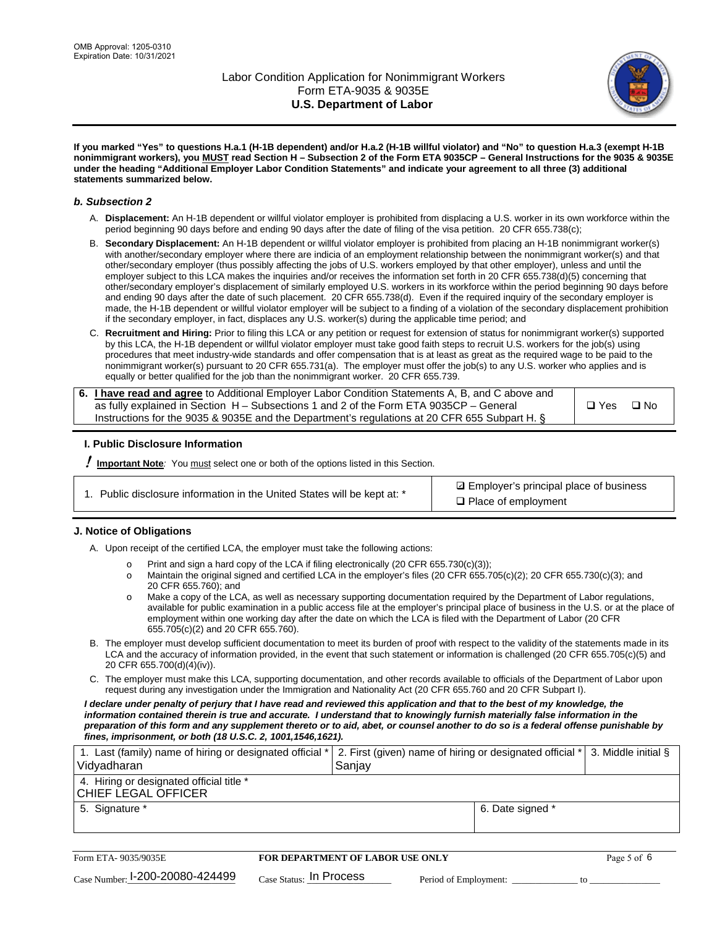

**If you marked "Yes" to questions H.a.1 (H-1B dependent) and/or H.a.2 (H-1B willful violator) and "No" to question H.a.3 (exempt H-1B nonimmigrant workers), you MUST read Section H – Subsection 2 of the Form ETA 9035CP – General Instructions for the 9035 & 9035E under the heading "Additional Employer Labor Condition Statements" and indicate your agreement to all three (3) additional statements summarized below.**

#### *b. Subsection 2*

- A. **Displacement:** An H-1B dependent or willful violator employer is prohibited from displacing a U.S. worker in its own workforce within the period beginning 90 days before and ending 90 days after the date of filing of the visa petition. 20 CFR 655.738(c);
- B. **Secondary Displacement:** An H-1B dependent or willful violator employer is prohibited from placing an H-1B nonimmigrant worker(s) with another/secondary employer where there are indicia of an employment relationship between the nonimmigrant worker(s) and that other/secondary employer (thus possibly affecting the jobs of U.S. workers employed by that other employer), unless and until the employer subject to this LCA makes the inquiries and/or receives the information set forth in 20 CFR 655.738(d)(5) concerning that other/secondary employer's displacement of similarly employed U.S. workers in its workforce within the period beginning 90 days before and ending 90 days after the date of such placement. 20 CFR 655.738(d). Even if the required inquiry of the secondary employer is made, the H-1B dependent or willful violator employer will be subject to a finding of a violation of the secondary displacement prohibition if the secondary employer, in fact, displaces any U.S. worker(s) during the applicable time period; and
- C. **Recruitment and Hiring:** Prior to filing this LCA or any petition or request for extension of status for nonimmigrant worker(s) supported by this LCA, the H-1B dependent or willful violator employer must take good faith steps to recruit U.S. workers for the job(s) using procedures that meet industry-wide standards and offer compensation that is at least as great as the required wage to be paid to the nonimmigrant worker(s) pursuant to 20 CFR 655.731(a). The employer must offer the job(s) to any U.S. worker who applies and is equally or better qualified for the job than the nonimmigrant worker. 20 CFR 655.739.

| 6. I have read and agree to Additional Employer Labor Condition Statements A, B, and C above and |       |      |
|--------------------------------------------------------------------------------------------------|-------|------|
| as fully explained in Section H – Subsections 1 and 2 of the Form ETA 9035CP – General           | □ Yes | ⊟ No |
| Instructions for the 9035 & 9035 E and the Department's regulations at 20 CFR 655 Subpart H. §   |       |      |

## **I. Public Disclosure Information**

! **Important Note***:* You must select one or both of the options listed in this Section.

| 1. Public disclosure information in the United States will be kept at: * |  |  |  |  |  |  |  |  |  |
|--------------------------------------------------------------------------|--|--|--|--|--|--|--|--|--|
|--------------------------------------------------------------------------|--|--|--|--|--|--|--|--|--|

**sqrt** Employer's principal place of business □ Place of employment

## **J. Notice of Obligations**

A. Upon receipt of the certified LCA, the employer must take the following actions:

- o Print and sign a hard copy of the LCA if filing electronically (20 CFR 655.730(c)(3));<br>
Maintain the original signed and certified LCA in the employer's files (20 CFR 655.7
- Maintain the original signed and certified LCA in the employer's files (20 CFR 655.705(c)(2); 20 CFR 655.730(c)(3); and 20 CFR 655.760); and
- o Make a copy of the LCA, as well as necessary supporting documentation required by the Department of Labor regulations, available for public examination in a public access file at the employer's principal place of business in the U.S. or at the place of employment within one working day after the date on which the LCA is filed with the Department of Labor (20 CFR 655.705(c)(2) and 20 CFR 655.760).
- B. The employer must develop sufficient documentation to meet its burden of proof with respect to the validity of the statements made in its LCA and the accuracy of information provided, in the event that such statement or information is challenged (20 CFR 655.705(c)(5) and 20 CFR 655.700(d)(4)(iv)).
- C. The employer must make this LCA, supporting documentation, and other records available to officials of the Department of Labor upon request during any investigation under the Immigration and Nationality Act (20 CFR 655.760 and 20 CFR Subpart I).

*I declare under penalty of perjury that I have read and reviewed this application and that to the best of my knowledge, the*  information contained therein is true and accurate. I understand that to knowingly furnish materially false information in the *preparation of this form and any supplement thereto or to aid, abet, or counsel another to do so is a federal offense punishable by fines, imprisonment, or both (18 U.S.C. 2, 1001,1546,1621).*

| 1. Last (family) name of hiring or designated official *   2. First (given) name of hiring or designated official *   3. Middle initial §<br>Vidyadharan | l Saniav         |  |
|----------------------------------------------------------------------------------------------------------------------------------------------------------|------------------|--|
| 4. Hiring or designated official title *<br>CHIEF LEGAL OFFICER                                                                                          |                  |  |
| 5. Signature *                                                                                                                                           | 6. Date signed * |  |

| Form ETA-9035/9035E                         | <b>FOR DEPARTMENT OF LABOR USE ONLY</b> |                       | Page 5 of 6 |
|---------------------------------------------|-----------------------------------------|-----------------------|-------------|
| $_{\text{Case Number:}}$ I-200-20080-424499 | $_{\rm Case~S status:}$ In Process      | Period of Employment: |             |